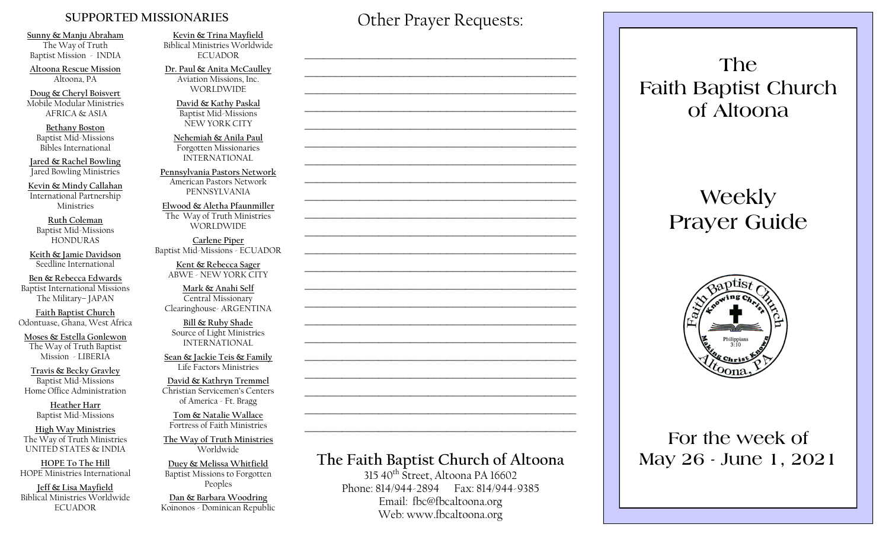#### **SUPPORTED MISSIONARIES**

**Sunny & Manju Abraham**  The Way of Truth Baptist Mission - INDIA

**Altoona Rescue Mission** Altoona, PA

**Doug & Cheryl Boisvert** Mobile Modular Ministries AFRICA & ASIA

**Bethany Boston** Baptist Mid-Missions Bibles International

**Jared & Rachel Bowling** Jared Bowling Ministries

**Kevin & Mindy Callahan** International Partnership Ministries

**Ruth Coleman** Baptist Mid-Missions HONDURAS

**Keith & Jamie Davidson** Seedline International

**Ben & Rebecca Edwards** Baptist International Missions The Military– JAPAN

**Faith Baptist Church** Odontuase, Ghana, West Africa

**Moses & Estella Gonlewon** The Way of Truth Baptist Mission - LIBERIA

**Travis & Becky Gravley**  Baptist Mid-Missions Home Office Administration

> **Heather Harr** Baptist Mid-Missions

**High Way Ministries** The Way of Truth Ministries UNITED STATES & INDIA

**HOPE To The Hill** HOPE Ministries International

**Jeff & Lisa Mayfield** Biblical Ministries Worldwide **ECUADOR** 

**Kevin & Trina Mayfield** Biblical Ministries Worldwide ECUADOR

**Dr. Paul & Anita McCaulley** Aviation Missions, Inc. WORLDWIDE

> **David & Kathy Paskal** Baptist Mid-Missions NEW YORK CITY

**Nehemiah & Anila Paul** Forgotten Missionaries INTERNATIONAL

**Pennsylvania Pastors Network** American Pastors Network PENNSYLVANIA

**Elwood & Aletha Pfaunmiller** The Way of Truth Ministries WORLDWIDE

**Carlene Piper** Baptist Mid-Missions - ECUADOR

> **Kent & Rebecca Sager** ABWE - NEW YORK CITY

**Mark & Anahi Self** Central Missionary Clearinghouse- ARGENTINA

**Bill & Ruby Shade** Source of Light Ministries INTERNATIONAL

**Sean & Jackie Teis & Family** Life Factors Ministries

**David & Kathryn Tremmel**  Christian Servicemen's Centers of America - Ft. Bragg

**Tom & Natalie Wallace** Fortress of Faith Ministries

**The Way of Truth Ministries**  Worldwide

**Duey & Melissa Whitfield** Baptist Missions to Forgotten Peoples

**Dan & Barbara Woodring**  Koinonos - Dominican Republic Other Prayer Requests:

 $\mathcal{L}_\text{max}$  and  $\mathcal{L}_\text{max}$  and  $\mathcal{L}_\text{max}$  and  $\mathcal{L}_\text{max}$  and  $\mathcal{L}_\text{max}$ 

 $\mathcal{L}_\text{max}$  , and the contract of the contract of the contract of the contract of the contract of the contract of the contract of the contract of the contract of the contract of the contract of the contract of the contr

 $\mathcal{L}_\text{max}$  and  $\mathcal{L}_\text{max}$  and  $\mathcal{L}_\text{max}$  and  $\mathcal{L}_\text{max}$  and  $\mathcal{L}_\text{max}$ 

 $\mathcal{L}_\text{max}$  and  $\mathcal{L}_\text{max}$  and  $\mathcal{L}_\text{max}$  and  $\mathcal{L}_\text{max}$  and  $\mathcal{L}_\text{max}$ 

 $\mathcal{L}_\text{max}$  , and the contract of the contract of the contract of the contract of the contract of the contract of the contract of the contract of the contract of the contract of the contract of the contract of the contr

## **The Faith Baptist Church of Altoona**   $315\,40^{th}$  Street, Altoona PA 16602  $\mathcal{L}_\text{max}$  , and the contract of the contract of the contract of the contract of the contract of the contract of the contract of the contract of the contract of the contract of the contract of the contract of the contr  $\mathcal{L}_\text{max}$  , and the contract of the contract of the contract of the contract of the contract of the contract of the contract of the contract of the contract of the contract of the contract of the contract of the contr  $\mathcal{L}_\text{max}$  and  $\mathcal{L}_\text{max}$  and  $\mathcal{L}_\text{max}$  and  $\mathcal{L}_\text{max}$  and  $\mathcal{L}_\text{max}$  $\mathcal{L}_\text{max}$  , and the contract of the contract of the contract of the contract of the contract of the contract of the contract of the contract of the contract of the contract of the contract of the contract of the contr  $\mathcal{L}_\text{max}$  , and the contract of the contract of the contract of the contract of the contract of the contract of the contract of the contract of the contract of the contract of the contract of the contract of the contr  $\mathcal{L}_\text{max}$  , and the contract of the contract of the contract of the contract of the contract of the contract of the contract of the contract of the contract of the contract of the contract of the contract of the contr  $\mathcal{L}_\text{max}$  , and the contract of the contract of the contract of the contract of the contract of the contract of the contract of the contract of the contract of the contract of the contract of the contract of the contr  $\mathcal{L}_\text{max}$  and  $\mathcal{L}_\text{max}$  and  $\mathcal{L}_\text{max}$  and  $\mathcal{L}_\text{max}$  and  $\mathcal{L}_\text{max}$  $\mathcal{L}_\text{max}$  , and the contract of the contract of the contract of the contract of the contract of the contract of the contract of the contract of the contract of the contract of the contract of the contract of the contr  $\mathcal{L}_\text{max}$  , and the contract of the contract of the contract of the contract of the contract of the contract of the contract of the contract of the contract of the contract of the contract of the contract of the contr

Phone: 814/944-2894 Fax: 814/944-9385 Email: fbc@fbcaltoona.org Web: www.fbcaltoona.org

**The Faith Baptist Church of Altoona** 

# **Weekly Prayer Guide**



### **For the week of May 26 - June 1, 2021**